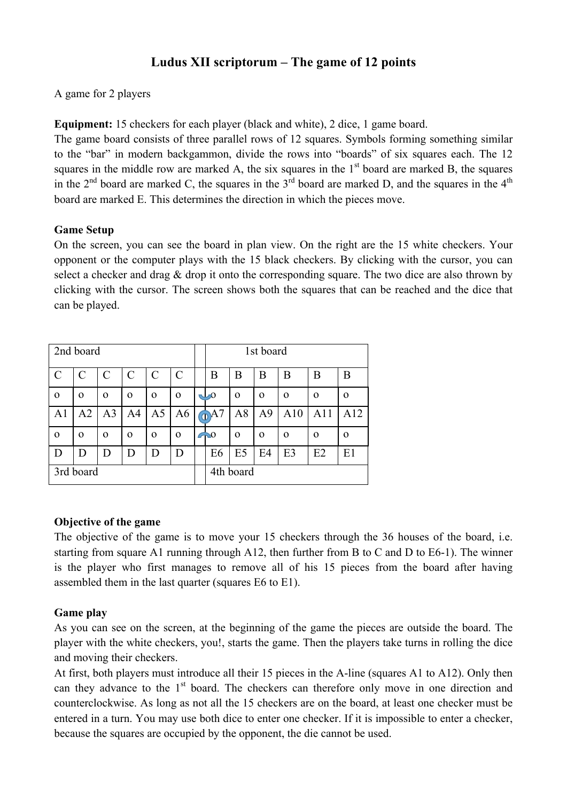# **Ludus XII scriptorum – The game of 12 points**

A game for 2 players

**Equipment:** 15 checkers for each player (black and white), 2 dice, 1 game board.

The game board consists of three parallel rows of 12 squares. Symbols forming something similar to the "bar" in modern backgammon, divide the rows into "boards" of six squares each. The 12 squares in the middle row are marked A, the six squares in the  $1<sup>st</sup>$  board are marked B, the squares in the  $2<sup>nd</sup>$  board are marked C, the squares in the  $3<sup>rd</sup>$  board are marked D, and the squares in the  $4<sup>th</sup>$ board are marked E. This determines the direction in which the pieces move.

## **Game Setup**

On the screen, you can see the board in plan view. On the right are the 15 white checkers. Your opponent or the computer plays with the 15 black checkers. By clicking with the cursor, you can select a checker and drag & drop it onto the corresponding square. The two dice are also thrown by clicking with the cursor. The screen shows both the squares that can be reached and the dice that can be played.

| 2nd board      |          |                |               |                |                | 1st board         |                |                |          |          |          |
|----------------|----------|----------------|---------------|----------------|----------------|-------------------|----------------|----------------|----------|----------|----------|
| $\mathcal{C}$  | C        | C              | $\mathcal{C}$ | $\mathbf C$    | $\mathcal{C}$  | B                 | Β              | В              | B        | B        | B        |
| $\mathbf 0$    | $\Omega$ | $\Omega$       | $\Omega$      | $\Omega$       | $\Omega$       | $\mathbf{\omega}$ | $\Omega$       | $\Omega$       | $\Omega$ | $\Omega$ | $\Omega$ |
| A <sub>1</sub> | A2       | A <sub>3</sub> | A4            | A <sub>5</sub> | A <sub>6</sub> | $\odot$ A7        | A8             | A <sup>9</sup> | A10      | A11      | A12      |
| $\mathbf 0$    | $\Omega$ | $\mathbf 0$    | $\Omega$      | $\Omega$       | $\Omega$       | $\bigcirc$        | $\Omega$       | $\Omega$       | $\Omega$ | $\Omega$ | $\Omega$ |
| D              | D        | D              | D             | D              | D              | E <sub>6</sub>    | E <sub>5</sub> | E4             | E3       | E2       | E1       |
| 3rd board      |          |                |               |                |                | 4th board         |                |                |          |          |          |

### **Objective of the game**

The objective of the game is to move your 15 checkers through the 36 houses of the board, i.e. starting from square A1 running through A12, then further from B to C and D to E6-1). The winner is the player who first manages to remove all of his 15 pieces from the board after having assembled them in the last quarter (squares E6 to E1).

# **Game play**

As you can see on the screen, at the beginning of the game the pieces are outside the board. The player with the white checkers, you!, starts the game. Then the players take turns in rolling the dice and moving their checkers.

At first, both players must introduce all their 15 pieces in the A-line (squares A1 to A12). Only then can they advance to the  $1<sup>st</sup>$  board. The checkers can therefore only move in one direction and counterclockwise. As long as not all the 15 checkers are on the board, at least one checker must be entered in a turn. You may use both dice to enter one checker. If it is impossible to enter a checker, because the squares are occupied by the opponent, the die cannot be used.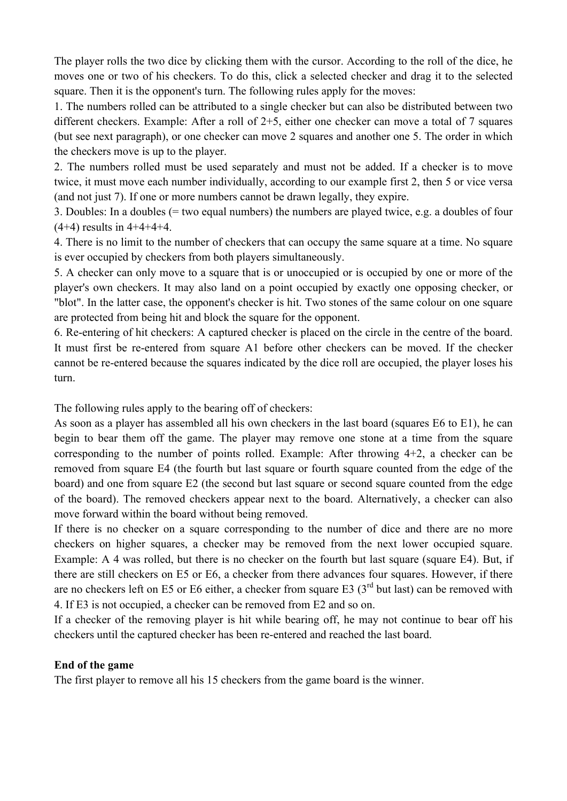The player rolls the two dice by clicking them with the cursor. According to the roll of the dice, he moves one or two of his checkers. To do this, click a selected checker and drag it to the selected square. Then it is the opponent's turn. The following rules apply for the moves:

1. The numbers rolled can be attributed to a single checker but can also be distributed between two different checkers. Example: After a roll of 2+5, either one checker can move a total of 7 squares (but see next paragraph), or one checker can move 2 squares and another one 5. The order in which the checkers move is up to the player.

2. The numbers rolled must be used separately and must not be added. If a checker is to move twice, it must move each number individually, according to our example first 2, then 5 or vice versa (and not just 7). If one or more numbers cannot be drawn legally, they expire.

3. Doubles: In a doubles (= two equal numbers) the numbers are played twice, e.g. a doubles of four  $(4+4)$  results in  $4+4+4+4$ .

4. There is no limit to the number of checkers that can occupy the same square at a time. No square is ever occupied by checkers from both players simultaneously.

5. A checker can only move to a square that is or unoccupied or is occupied by one or more of the player's own checkers. It may also land on a point occupied by exactly one opposing checker, or "blot". In the latter case, the opponent's checker is hit. Two stones of the same colour on one square are protected from being hit and block the square for the opponent.

6. Re-entering of hit checkers: A captured checker is placed on the circle in the centre of the board. It must first be re-entered from square A1 before other checkers can be moved. If the checker cannot be re-entered because the squares indicated by the dice roll are occupied, the player loses his turn.

The following rules apply to the bearing off of checkers:

As soon as a player has assembled all his own checkers in the last board (squares E6 to E1), he can begin to bear them off the game. The player may remove one stone at a time from the square corresponding to the number of points rolled. Example: After throwing 4+2, a checker can be removed from square E4 (the fourth but last square or fourth square counted from the edge of the board) and one from square E2 (the second but last square or second square counted from the edge of the board). The removed checkers appear next to the board. Alternatively, a checker can also move forward within the board without being removed.

If there is no checker on a square corresponding to the number of dice and there are no more checkers on higher squares, a checker may be removed from the next lower occupied square. Example: A 4 was rolled, but there is no checker on the fourth but last square (square E4). But, if there are still checkers on E5 or E6, a checker from there advances four squares. However, if there are no checkers left on E5 or E6 either, a checker from square E3  $(3<sup>rd</sup>$  but last) can be removed with 4. If E3 is not occupied, a checker can be removed from E2 and so on.

If a checker of the removing player is hit while bearing off, he may not continue to bear off his checkers until the captured checker has been re-entered and reached the last board.

### **End of the game**

The first player to remove all his 15 checkers from the game board is the winner.